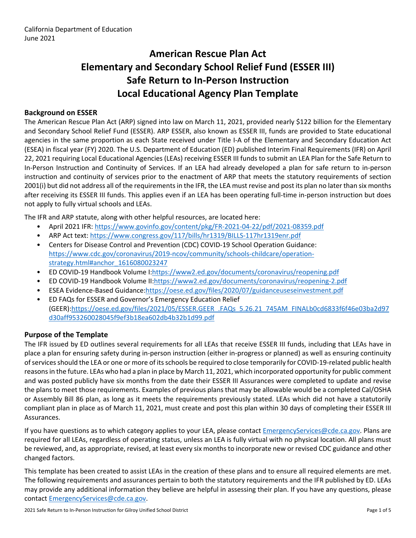# **American Rescue Plan Act Elementary and Secondary School Relief Fund (ESSER III) Safe Return to In-Person Instruction Local Educational Agency Plan Template**

### **Background on ESSER**

The American Rescue Plan Act (ARP) signed into law on March 11, 2021, provided nearly \$122 billion for the Elementary and Secondary School Relief Fund (ESSER). ARP ESSER, also known as ESSER III, funds are provided to State educational agencies in the same proportion as each State received under Title I-A of the Elementary and Secondary Education Act (ESEA) in fiscal year (FY) 2020. The U.S. Department of Education (ED) published Interim Final Requirements (IFR) on April 22, 2021 requiring Local Educational Agencies (LEAs) receiving ESSER III funds to submit an LEA Plan for the Safe Return to In-Person Instruction and Continuity of Services. If an LEA had already developed a plan for safe return to in-person instruction and continuity of services prior to the enactment of ARP that meets the statutory requirements of section 2001(i) but did not address all of the requirements in the IFR, the LEA must revise and post its plan no later than six months after receiving its ESSER III funds. This applies even if an LEA has been operating full-time in-person instruction but does not apply to fully virtual schools and LEAs.

The IFR and ARP statute, along with other helpful resources, are located here:

- April 2021 IFR: <https://www.govinfo.gov/content/pkg/FR-2021-04-22/pdf/2021-08359.pdf>
- ARP Act text: <https://www.congress.gov/117/bills/hr1319/BILLS-117hr1319enr.pdf>
- Centers for Disease Control and Prevention (CDC) COVID-19 School Operation Guidance: [https://www.cdc.gov/coronavirus/2019-ncov/community/schools-childcare/operation](https://www.cdc.gov/coronavirus/2019-ncov/community/schools-childcare/operation-strategy.html#anchor_1616080023247)[strategy.html#anchor\\_1616080023247](https://www.cdc.gov/coronavirus/2019-ncov/community/schools-childcare/operation-strategy.html#anchor_1616080023247)
- ED COVID-19 Handbook Volume I:[https://www2.ed.gov/documents/coronavirus/reopening.pdf](https://www2.ed.gov/documents/coronavirus/reopening.pdf%20)
- ED COVID-19 Handbook Volume II:<https://www2.ed.gov/documents/coronavirus/reopening-2.pdf>
- ESEA Evidence-Based Guidance[:https://oese.ed.gov/files/2020/07/guidanceuseseinvestment.pdf](https://oese.ed.gov/files/2020/07/guidanceuseseinvestment.pdf)
- ED FAQs for ESSER and Governor's Emergency Education Relief (GEER)[:https://oese.ed.gov/files/2021/05/ESSER.GEER\\_.FAQs\\_5.26.21\\_745AM\\_FINALb0cd6833f6f46e03ba2d97](https://oese.ed.gov/files/2021/05/ESSER.GEER_.FAQs_5.26.21_745AM_FINALb0cd6833f6f46e03ba2d97d30aff953260028045f9ef3b18ea602db4b32b1d99.pdf) [d30aff953260028045f9ef3b18ea602db4b32b1d99.pdf](https://oese.ed.gov/files/2021/05/ESSER.GEER_.FAQs_5.26.21_745AM_FINALb0cd6833f6f46e03ba2d97d30aff953260028045f9ef3b18ea602db4b32b1d99.pdf)

### **Purpose of the Template**

The IFR issued by ED outlines several requirements for all LEAs that receive ESSER III funds, including that LEAs have in place a plan for ensuring safety during in-person instruction (either in-progress or planned) as well as ensuring continuity ofservicesshould the LEA or one or more of itsschools be required to close temporarily for COVID-19-related public health reasons in the future. LEAs who had a plan in place by March 11, 2021, which incorporated opportunity for public comment and was posted publicly have six months from the date their ESSER III Assurances were completed to update and revise the plans to meet those requirements. Examples of previous plans that may be allowable would be a completed Cal/OSHA or Assembly Bill 86 plan, as long as it meets the requirements previously stated. LEAs which did not have a statutorily compliant plan in place as of March 11, 2021, must create and post this plan within 30 days of completing their ESSER III Assurances.

If you have questions as to which category applies to your LEA, please contact [EmergencyServices@cde.ca.gov.](mailto:EmergencyServices@cde.ca.gov) Plans are required for all LEAs, regardless of operating status, unless an LEA is fully virtual with no physical location. All plans must be reviewed, and, as appropriate, revised, at least every six monthsto incorporate new or revised CDC guidance and other changed factors.

This template has been created to assist LEAs in the creation of these plans and to ensure all required elements are met. The following requirements and assurances pertain to both the statutory requirements and the IFR published by ED. LEAs may provide any additional information they believe are helpful in assessing their plan. If you have any questions, please contact [EmergencyServices@cde.ca.gov.](mailto:EmergencyServices@cde.ca.gov)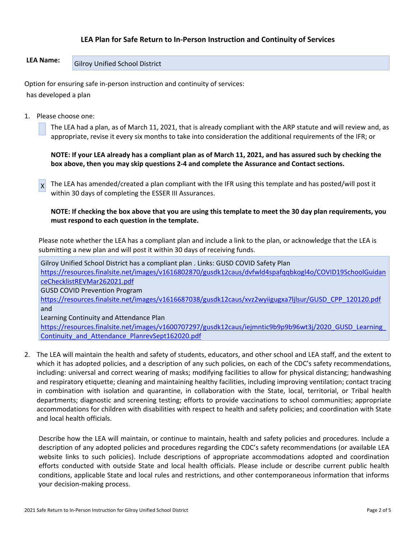### **LEA Plan for Safe Return to In-Person Instruction and Continuity of Services**

## **LEA Name:** Gilroy Unified School District

Option for ensuring safe in-person instruction and continuity of services: has developed a plan

1. Please choose one:

The LEA had a plan, as of March 11, 2021, that is already compliant with the ARP statute and will review and, as appropriate, revise it every six months to take into consideration the additional requirements of the IFR; or

NOTE: If your LEA already has a compliant plan as of March 11, 2021, and has assured such by checking the **box above, then you may skip questions 2-4 and complete the Assurance and Contact sections.**

X The LEA has amended/created a plan compliant with the IFR using this template and has posted/will post it within 30 days of completing the ESSER III Assurances.

NOTE: If checking the box above that you are using this template to meet the 30 day plan requirements, you **must respond to each question in the template.**

Please note whether the LEA has a compliant plan and include a link to the plan, or acknowledge that the LEA is submitting a new plan and will post it within 30 days of receiving funds.

Gilroy Unified School District has a compliant plan . Links: GUSD COVID Safety Plan [https://resources.finalsite.net/images/v1616802870/gusdk12caus/dvfwld4spafqqbkogl4o/COVID19SchoolGuidan](https://resources.finalsite.net/images/v1616802870/gusdk12caus/dvfwld4spafqqbkogl4o/COVID19SchoolGuidanceChecklistREVMar262021.pdf) [ceChecklistREVMar262021.pdf](https://resources.finalsite.net/images/v1616802870/gusdk12caus/dvfwld4spafqqbkogl4o/COVID19SchoolGuidanceChecklistREVMar262021.pdf) GUSD COVID Prevention Program [https://resources.finalsite.net/images/v1616687038/gusdk12caus/xvz2wyiigugxa7ljlsur/GUSD\\_CPP\\_120120.pdf](https://resources.finalsite.net/images/v1616687038/gusdk12caus/xvz2wyiigugxa7ljlsur/GUSD_CPP_120120.pdf) and Learning Continuity and Attendance Plan

https://resources.finalsite.net/images/v1600707297/gusdk12caus/iejmntic9b9p9b96wt3j/2020\_GUSD\_Learning [Continuity\\_and\\_Attendance\\_PlanrevSept162020.pdf](https://resources.finalsite.net/images/v1600707297/gusdk12caus/iejmntic9b9p9b96wt3j/2020_GUSD_Learning_Continuity_and_Attendance_PlanrevSept162020.pdf)

2. The LEA will maintain the health and safety of students, educators, and other school and LEA staff, and the extent to which it has adopted policies, and a description of any such policies, on each of the CDC's safety recommendations, including: universal and correct wearing of masks; modifying facilities to allow for physical distancing; handwashing and respiratory etiquette; cleaning and maintaining healthy facilities, including improving ventilation; contact tracing in combination with isolation and quarantine, in collaboration with the State, local, territorial, or Tribal health departments; diagnostic and screening testing; efforts to provide vaccinations to school communities; appropriate accommodations for children with disabilities with respect to health and safety policies; and coordination with State and local health officials.

Describe how the LEA will maintain, or continue to maintain, health and safety policies and procedures. Include a description of any adopted policies and procedures regarding the CDC's safety recommendations (or available LEA website links to such policies). Include descriptions of appropriate accommodations adopted and coordination efforts conducted with outside State and local health officials. Please include or describe current public health conditions, applicable State and local rules and restrictions, and other contemporaneous information that informs your decision-making process.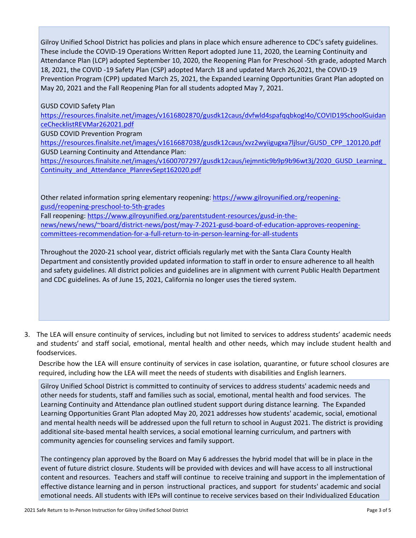Gilroy Unified School District has policies and plans in place which ensure adherence to CDC's safety guidelines. These include the COVID-19 Operations Written Report adopted June 11, 2020, the Learning Continuity and Attendance Plan (LCP) adopted September 10, 2020, the Reopening Plan for Preschool -5th grade, adopted March 18, 2021, the COVID -19 Safety Plan (CSP) adopted March 18 and updated March 26,2021, the COVID-19 Prevention Program (CPP) updated March 25, 2021, the Expanded Learning Opportunities Grant Plan adopted on May 20, 2021 and the Fall Reopening Plan for all students adopted May 7, 2021.

GUSD COVID Safety Plan

[https://resources.finalsite.net/images/v1616802870/gusdk12caus/dvfwld4spafqqbkogl4o/COVID19SchoolGuidan](https://resources.finalsite.net/images/v1616802870/gusdk12caus/dvfwld4spafqqbkogl4o/COVID19SchoolGuidanceChecklistREVMar262021.pdf) [ceChecklistREVMar262021.pdf](https://resources.finalsite.net/images/v1616802870/gusdk12caus/dvfwld4spafqqbkogl4o/COVID19SchoolGuidanceChecklistREVMar262021.pdf)

GUSD COVID Prevention Program

[https://resources.finalsite.net/images/v1616687038/gusdk12caus/xvz2wyiigugxa7ljlsur/GUSD\\_CPP\\_120120.pdf](https://resources.finalsite.net/images/v1616687038/gusdk12caus/xvz2wyiigugxa7ljlsur/GUSD_CPP_120120.pdf) GUSD Learning Continuity and Attendance Plan:

[https://resources.finalsite.net/images/v1600707297/gusdk12caus/iejmntic9b9p9b96wt3j/2020\\_GUSD\\_Learning\\_](https://resources.finalsite.net/images/v1600707297/gusdk12caus/iejmntic9b9p9b96wt3j/2020_GUSD_Learning_Continuity_and_Attendance_PlanrevSept162020.pdf) [Continuity\\_and\\_Attendance\\_PlanrevSept162020.pdf](https://resources.finalsite.net/images/v1600707297/gusdk12caus/iejmntic9b9p9b96wt3j/2020_GUSD_Learning_Continuity_and_Attendance_PlanrevSept162020.pdf)

Other related information spring elementary reopening: [https://www.gilroyunified.org/reopening](https://www.gilroyunified.org/reopening-gusd/reopening-preschool-to-5th-grades)[gusd/reopening-preschool-to-5th-grades](https://www.gilroyunified.org/reopening-gusd/reopening-preschool-to-5th-grades)

Fall reopening: [https://www.gilroyunified.org/parentstudent-resources/gusd-in-the-](https://www.gilroyunified.org/parentstudent-resources/gusd-in-the-news/news/news/~board/district-news/post/may-7-2021-gusd-board-of-education-approves-reopening-committees-recommendation-for-a-full-return-to-in-person-learning-for-all-students)

[news/news/news/~board/district-news/post/may-7-2021-gusd-board-of-education-approves-reopening](https://www.gilroyunified.org/parentstudent-resources/gusd-in-the-news/news/news/~board/district-news/post/may-7-2021-gusd-board-of-education-approves-reopening-committees-recommendation-for-a-full-return-to-in-person-learning-for-all-students)[committees-recommendation-for-a-full-return-to-in-person-learning-for-all-students](https://www.gilroyunified.org/parentstudent-resources/gusd-in-the-news/news/news/~board/district-news/post/may-7-2021-gusd-board-of-education-approves-reopening-committees-recommendation-for-a-full-return-to-in-person-learning-for-all-students)

Throughout the 2020-21 school year, district officials regularly met with the Santa Clara County Health Department and consistently provided updated information to staff in order to ensure adherence to all health and safety guidelines. All district policies and guidelines are in alignment with current Public Health Department and CDC guidelines. As of June 15, 2021, California no longer uses the tiered system.

3. The LEA will ensure continuity of services, including but not limited to services to address students' academic needs and students' and staff social, emotional, mental health and other needs, which may include student health and foodservices.

Describe how the LEA will ensure continuity of services in case isolation, quarantine, or future school closures are required, including how the LEA will meet the needs of students with disabilities and English learners.

Gilroy Unified School District is committed to continuity of services to address students' academic needs and other needs for students, staff and families such as social, emotional, mental health and food services. The Learning Continuity and Attendance plan outlined student support during distance learning. The Expanded Learning Opportunities Grant Plan adopted May 20, 2021 addresses how students' academic, social, emotional and mental health needs will be addressed upon the full return to school in August 2021. The district is providing additional site-based mental health services, a social emotional learning curriculum, and partners with community agencies for counseling services and family support.

The contingency plan approved by the Board on May 6 addresses the hybrid model that will be in place in the event of future district closure. Students will be provided with devices and will have access to all instructional content and resources. Teachers and staff will continue to receive training and support in the implementation of effective distance learning and in person instructional practices, and support for students' academic and social emotional needs. All students with IEPs will continue to receive services based on their Individualized Education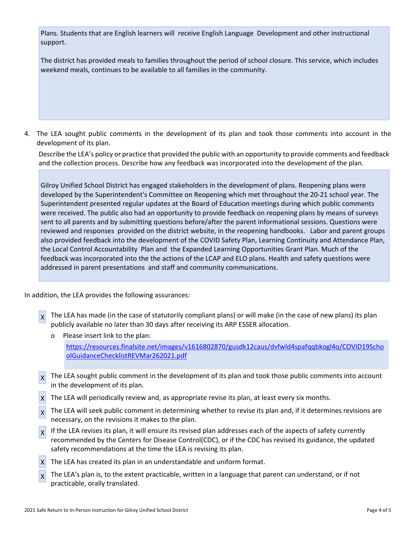Plans. Students that are English learners will receive English Language Development and other instructional support.

The district has provided meals to families throughout the period of school closure. This service, which includes weekend meals, continues to be available to all families in the community.

4. The LEA sought public comments in the development of its plan and took those comments into account in the development of its plan.

Describe the LEA's policy or practice that provided the public with an opportunity to provide comments and feedback and the collection process. Describe how any feedback was incorporated into the development of the plan.

Gilroy Unified School District has engaged stakeholders in the development of plans. Reopening plans were developed by the Superintendent's Committee on Reopening which met throughout the 20-21 school year. The Superintendent presented regular updates at the Board of Education meetings during which public comments were received. The public also had an opportunity to provide feedback on reopening plans by means of surveys sent to all parents and by submitting questions before/after the parent informational sessions. Questions were reviewed and responses provided on the district website, in the reopening handbooks. Labor and parent groups also provided feedback into the development of the COVID Safety Plan, Learning Continuity and Attendance Plan, the Local Control Accountability Plan and the Expanded Learning Opportunities Grant Plan. Much of the feedback was incorporated into the the actions of the LCAP and ELO plans. Health and safety questions were addressed in parent presentations and staff and community communications.

In addition, the LEA provides the following assurances:

 $\chi$  The LEA has made (in the case of statutorily compliant plans) or will make (in the case of new plans) its plan publicly available no later than 30 days after receiving its ARP ESSER allocation.

Please insert link to the plan: [https://resources.finalsite.net/images/v1616802870/gusdk12caus/dvfwld4spafqqbkogl4o/COVID19Scho](https://resources.finalsite.net/images/v1616802870/gusdk12caus/dvfwld4spafqqbkogl4o/COVID19SchoolGuidanceChecklistREVMar262021.pdf) [olGuidanceChecklistREVMar262021.pdf](https://resources.finalsite.net/images/v1616802870/gusdk12caus/dvfwld4spafqqbkogl4o/COVID19SchoolGuidanceChecklistREVMar262021.pdf)

- X The LEA sought public comment in the development of its plan and took those public comments into account in the development of its plan.
- X The LEA will periodically review and, as appropriate revise its plan, at least every six months.
- $\chi$  The LEA will seek public comment in determining whether to revise its plan and, if it determines revisions are necessary, on the revisions it makes to the plan.
- $\mathbf{x}$ If the LEA revises its plan, it will ensure its revised plan addresses each of the aspects of safety currently recommended by the Centers for Disease Control(CDC), or if the CDC has revised its guidance, the updated safety recommendations at the time the LEA is revising its plan.
- $X$  The LEA has created its plan in an understandable and uniform format.
- $\vert x \vert$ The LEA's plan is, to the extent practicable, written in a language that parent can understand, or if not practicable, orally translated.